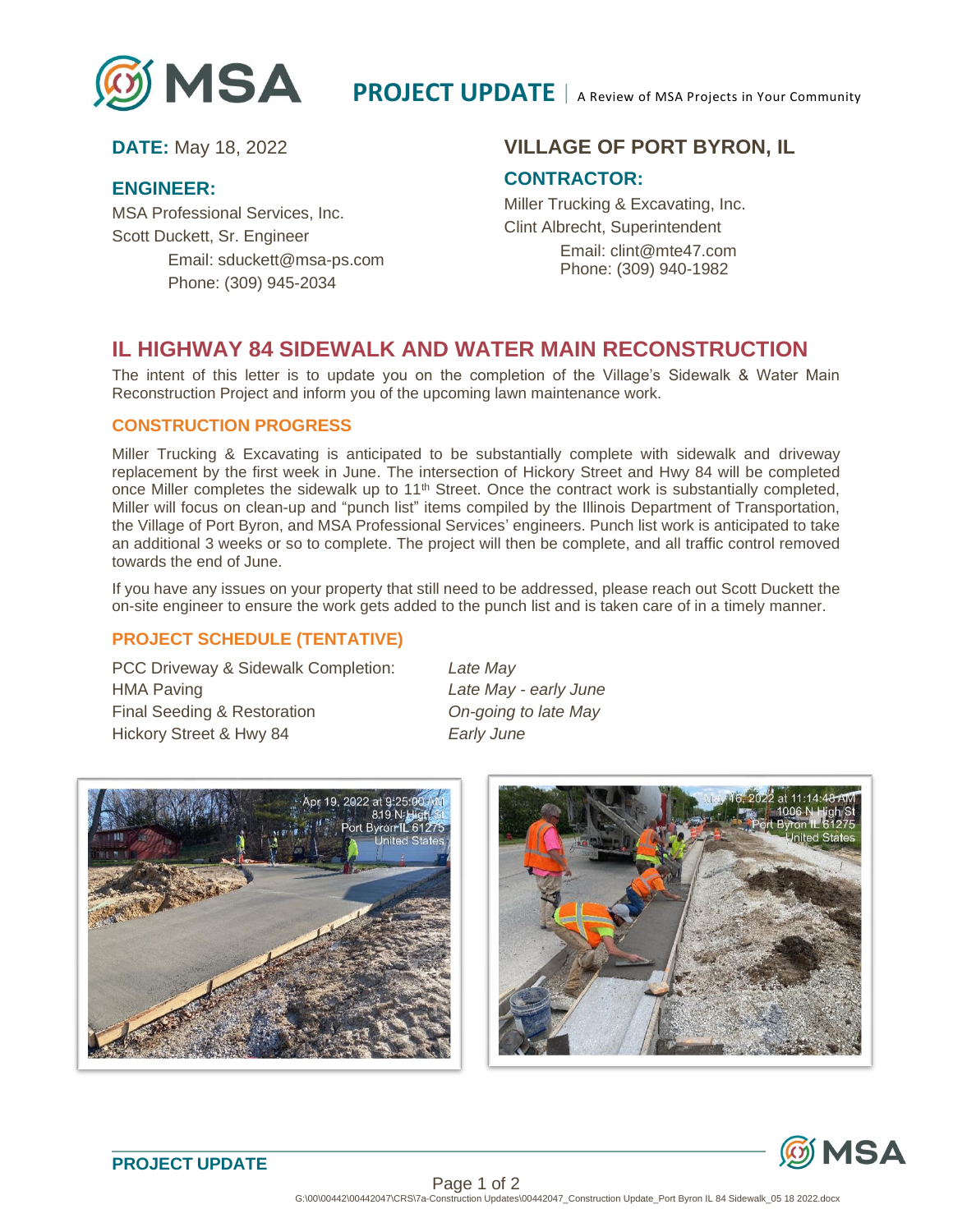

### **ENGINEER:**

MSA Professional Services, Inc. Scott Duckett, Sr. Engineer Email: sduckett@msa-ps.com Phone: (309) 945-2034

## **DATE:** May 18, 2022 **VILLAGE OF PORT BYRON, IL**

### **CONTRACTOR:**

Miller Trucking & Excavating, Inc. Clint Albrecht, Superintendent Email: clint@mte47.com Phone: (309) 940-1982

# **IL HIGHWAY 84 SIDEWALK AND WATER MAIN RECONSTRUCTION**

The intent of this letter is to update you on the completion of the Village's Sidewalk & Water Main Reconstruction Project and inform you of the upcoming lawn maintenance work.

### **CONSTRUCTION PROGRESS**

Miller Trucking & Excavating is anticipated to be substantially complete with sidewalk and driveway replacement by the first week in June. The intersection of Hickory Street and Hwy 84 will be completed once Miller completes the sidewalk up to 11<sup>th</sup> Street. Once the contract work is substantially completed, Miller will focus on clean-up and "punch list" items compiled by the Illinois Department of Transportation, the Village of Port Byron, and MSA Professional Services' engineers. Punch list work is anticipated to take an additional 3 weeks or so to complete. The project will then be complete, and all traffic control removed towards the end of June.

If you have any issues on your property that still need to be addressed, please reach out Scott Duckett the on-site engineer to ensure the work gets added to the punch list and is taken care of in a timely manner.

### **PROJECT SCHEDULE (TENTATIVE)**

PCC Driveway & Sidewalk Completion: *Late May* HMA Paving *Late May - early June* Final Seeding & Restoration *On-going to late May* Hickory Street & Hwy 84 *Early June*